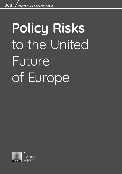# **Policy Risks**  to the United Future of Europe

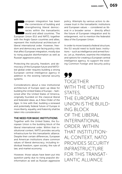**EXECUTE:** The cornerstone of building and strengthening liberal democracies within the transatlantic world and allied countries. The European Union (EU) and NATO, together uropean integration has been the cornerstone of building and strengthening liberal democracies within the transatlantic world and allied countries. The with the Anglo-Saxon countries and allies, represent the institutional architecture of liberal international order. However, freedom and democracy are facing policy risks that affect European integration, mostly due to rising populist disinformation as well as Russian aggressive policy.

Protecting the security, freedom, and democracy of the European future and NATOled global order requires building a strong European central intelligence agency in addition to the existing national security systems.

Considerations about a new institutional architecture of Europe open up ideas for building the United States of Europe – fashioned after the United States of America, originally founded on the classical liberal and federalist ideas, as *A New Order of the Ages*. In line with that, building a renewed and potentially federal future of Europe in more liberty, equality, and fraternity shall be taken into consideration.

#### THE NEED FOR BASIC INSTITUTIONS

Together with the United States, the European Union is the building block of the liberal international order. Within that institutional context, NATO provides security infrastructure for this transatlantic alliance. Despite their certain differences, European and American institutions share common values of liberal democracy, including individual freedom, open society, the rule of law, and market economy.

However, those values have been put into question partly due to rising populist disinformation as well as Russian aggressive policy. Attempts by various actors to decrease trust in the transatlantic institutions and European values – considered as liberal in a broader sense – directly affect the future of European integration and its enlargement, not to mention the federalist idea of the European Union.

In order to move toward a federal structure, the EU would need to build basic institutions – such as intelligence and armed forces. Let us, therefore, examine the initiatives and options for creating a European central intelligence agency, to support the existing Common Foreign and Security policy

# 77 TOGETHER WITH THE UNITED STATES, THE EUROPEAN UNION IS THE BUILD-ING BLOCK OF THE LIBERAL INTERNATIONAL ORDER. WITHIN THAT INSTITUTION-AL CONTEXT, NATO PROVIDES SECURITY INFRASTRUCTURE FOR THIS TRANSAT-LANTIC ALLIANCE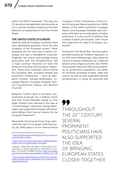within the NATO framework. This way, the EU would be strengthened institutionally as a U.S. partner, instead of relying on the false dilemma of *independence* from the United **States** 

#### THE UNITED STATES OF EUROPE

Ideas focused on European unification have been developing gradually. Since the very inception of the European project, these proposals did not only have a distinct European, but also a transatlantic character. Originally, the notions and heritage mostly associated with the Enlightenment had a major political influence on both the American founding and European integration. There were important actors behind this European idea, including notable and prominent Freemasons - such as Benjamin Franklin, George Washington, Giuseppe Mazzini, Giuseppe Garibaldi, Richard Coundenhove-Kalergi, and Winston Churchill.

Benjamin Franklin drew a European constitutional proposal<sup>1</sup> for a Federal Union and One Grand Republic based on free trade. Franklin even referred to the idea of a "Grand Design"2. Moreover, George Washington also supported European unification $3$ while William Penn had an initiative for the European Parliament<sup>4</sup>.

Meanwhile, French poet Victor Hugo advocated the idea of European fraternity during his 1849 speech at the Internal Peace Congress in Paris. Furthermore, in the context of European liberal revolutions in 1848, leaders of the Italian unification Giuseppe Mazzini and Giuseppe Garibaldi saw European unification as a continuation of Italian unification. It is also worth to mention that a liberal English philosopher John Stuart Mill supported the idea of European unification.

During the First World War, German pastor and liberal politician Friedrich Naumann, in his 1915 book *Mitteleuropa,* advocated the Central European federation as a defense alliance and a single economic area. Within this proposal, Naumann did not put emphasis on government regulations, but rather on voluntary exchange of labor, ideas and culture, as well as well-organized German entrepreneurs. It could be assumed that

TT THROUGHOUT THE 21<sup>ST</sup> CENTURY, SEVERAL PROMINENT POLITICIANS HAVE ALSO SUPPORTED THE IDEA OF BRINGING EUROPEAN STATES CLOSER TOGETHER

<sup>1</sup> [https://www.europewatchdog.info/en/council-of](https://www.europewatchdog.info/en/council-of-europe/united-europe/ )[europe/united-europe/](https://www.europewatchdog.info/en/council-of-europe/united-europe/ ) 

<sup>2</sup> [http://www.sirjournal.org/research/2018/1/29/ben](http://www.sirjournal.org/research/2018/1/29/ben-franklin-and-the-united-states-of-europe)[franklin-and-the-united-states-of-europe](http://www.sirjournal.org/research/2018/1/29/ben-franklin-and-the-united-states-of-europe)

<sup>3</sup> Reding V. (2012) *Why We Need a United States of Europe Now*, a speech delivered on November 8, European Commission. Available [online]: [https://ec.europa.](https://ec.europa.eu/commission/presscorner/detail/en/SPEECH_12_796) [eu/commission/presscorner/detail/en/SPEECH\\_12\\_796](https://ec.europa.eu/commission/presscorner/detail/en/SPEECH_12_796)

<sup>4</sup> [https://www.opendemocracy.net/en/can-europe](https://www.opendemocracy.net/en/can-europe-make-it/william-penn-englishman-who-invented-european-parliament/)[make-it/william-penn-englishman-who-invented-eu](https://www.opendemocracy.net/en/can-europe-make-it/william-penn-englishman-who-invented-european-parliament/)[ropean-parliament/](https://www.opendemocracy.net/en/can-europe-make-it/william-penn-englishman-who-invented-european-parliament/)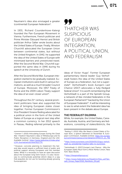Naumann's idea also envisaged a greater (continental) European federation<sup>5</sup>.

In 1931, Richard Coundenhove-Kalergi founded the Pan-European Movement in Vienna. Furthermore, French politician and Prime Minister Édouard Herriot and British politician Arthur Salter wrote books about the United States of Europe. Finally, Winston Churchill advocated the European Union between continental states, but without the United Kingdom. In 1942, he supported the idea of the United States of Europe with minimized barriers and unrestricted travel. After the Second World War, Churchill supported the same idea in 1946 during his speech at the University of Zurich.

After the Second World War, European integration started to be gradually realized. European institutions were built in various formations, as well as a much broader Council of Europe. Moreover, the 1957 Treaty of Rome and the 2009 Lisbon Treaty support the idea of an ever-closer union<sup>6</sup>.

Throughout the  $21<sup>st</sup>$  century, several prominent politicians have also supported the idea of bringing European states closer together. Former European Commission's Vice President Viviane Reding advocated for a political union in the form of the United States of Europe as a logical next step after a common currency. In her 2012 speech in Passau, Reding referred primarily to the

# 77 THATCHER WAS SUSPICIOUS OF EUROPEAN INTEGRATION, A POLITICAL UNION, AND FEDERALISM

ideas of Victor Hugo<sup>7</sup>. Former European parliamentary liberal leader Guy Verhofstadt fosters the idea of the United States of Europe as a federation, but not a superstate8. Verhofstadt's book *Europe's Last Chance* (2017) advocates a fully-fledged federal Union<sup>9</sup>. It is worth remembering that Verhofstadt is a part of the Spinelli Group, a network of like-minded federalists in the European Parliament<sup>10</sup> backed by the Union of European Federalist<sup>11</sup>. It will be interesting to see to what extent the federalist idea has been present in the debate about Europe.

#### THE FEDERALIST DILEMMA

While, for example, the United States, Canada, Australia, Austria, and Germany are federations, consisting of states/districts, the

<sup>5</sup> Greiner F. (2015) *Articulating Europe During the Great War: Friedrich Naumann's Idea of Mitteleuropa and Its Public Reception in Germany, England and the USA*. Available [online]: [https://www.ledonline.it/index.php/](https://www.ledonline.it/index.php/LCM-Journal/article/view/912/774 ) [LCM-Journal/article/view/912/774](https://www.ledonline.it/index.php/LCM-Journal/article/view/912/774 ) 

<sup>6</sup> However, concrete planning to implement this federal idea would require a sufficient level of public and political support among Europeans and the member states. While it is necessary to have an open discussion about the European long-term future, it is also necessary to communicate potential reform ideas in a way that populists do not use for boosting already growing Euroscepticism.

<sup>7</sup> Reding V. (2012) *Why We Need a United States of Europe Now*, a speech delivered on November 8, European Commission. Available [online]: [https://ec.europa.](https://ec.europa.eu/commission/presscorner/detail/en/SPEECH_12_796) [eu/commission/presscorner/detail/en/SPEECH\\_12\\_796](https://ec.europa.eu/commission/presscorner/detail/en/SPEECH_12_796)

<sup>8</sup> [https://www.euronews.com/2019/05/13/guy-verhof](https://www.euronews.com/2019/05/13/guy-verhofstadt-eu-presidential-hopeful-talks-to-euronews )[stadt-eu-presidential-hopeful-talks-to-euronews](https://www.euronews.com/2019/05/13/guy-verhofstadt-eu-presidential-hopeful-talks-to-euronews ) 

<sup>9</sup> Verhofstadt, G. (2017) *Europe's Last Chance - Why the European States Must Form a More Perfect Union*, New York: Basic Books.

<sup>10</sup> <https://thespinelligroup.eu/>

<sup>11</sup> [https://www.federalists.eu/fileadmin/files\\_uef/Spi](https://www.federalists.eu/fileadmin/files_uef/Spinelli_Group_Page/2018_Manifesto_EN.pdf )[nelli\\_Group\\_Page/2018\\_Manifesto\\_EN.pdf](https://www.federalists.eu/fileadmin/files_uef/Spinelli_Group_Page/2018_Manifesto_EN.pdf )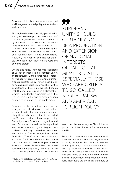European Union is a unique supranational and intergovernmental polity without a federal structure.

Although federalism is usually perceived as a progressive attempt to increase the size of the central government and its bureaucracy, the federalist idea should not be exclusively mixed with such perceptions. In this context, it is important to mention Margaret Thatcher who was strongly against European federal superstate as undemocratic. However, Thatcher noticed that, for example, American federalism means restoring power to states<sup>12</sup>.

On the one hand, Thatcher was suspicious of European integration, a political union, and federalism. On the other hand, Thatcher was against creating a strongly bureaucratic superstate led by French ideas directed against neoliberalism, while she saw the importance of the single market. It seems that Thatcher put Europe in a classical dilemma – a federalist superstate led by the French, versus a Europe of strong nations connected by means of the single market.

European unity should certainly not be a projection and extension of national interests of particular member states, especially those who are critical to so-called *neoliberalism* and American foreign policy. Secondly, more European integration and even federalism should not be equalized with more bureaucracy and higher centralization, although these risks can appear even without further integration toward federalism. Therefore, a potential federalist option for Europe should rather be the classical American version adopted into the European context. Perhaps Thatcher would agree with that (especially nowadays, when the United Kingdom is not a part of the EU

99 EUROPEAN UNITY SHOULD CERTAINLY NOT BE A PROJECTION AND EXTENSION OF NATIONAL INTERESTS OF PARTICULAR MEMBER STATES, ESPECIALLY THOSE WHO ARE CRITICAL TO SO-CALLED NEOLIBERALISM AND AMERICAN FOREIGN POLICY

anymore), the same way as Churchill supported the United States of Europe without the UK.

Federalism does not undermine national identities and member states' legacies – it can only strengthen their positions. However, Europe is not just about different nations coming together – the European vision stems from strong individuals, communities, and active citizens, who want to work on self-improvement and prosperity. Therefore, individuals are the main architects of

<sup>12</sup> Thatcher, T. (2003) *Statecraft: Strategies for a Changing World*, London: HarperCollinsPublishers.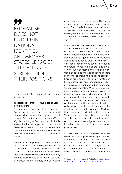99 FEDERALISM DOES NOT UNDERMINE NATIONAL IDENTITIES AND MEMBER STATES' LEGACIES – IT CAN ONLY STRENGTHEN THEIR POSITIONS

freedom and nations are as strong as individuals are free.

## FORGOTTEN IMPORTANCE OF CIVIC EDUCATION

Especially due to rising Euroscepticism, European integration and the federalist idea need a common identity, values, and virtues. Despite the motto *United in Diversity*, the majority of Europeans still lack this sense of unity, in comparison to the United States of America. It is difficult to assume that America was founded without obstacles to federalist unification of different states.

Therefore, it is important to understand the legacy of the U.S. Founding Fathers' vision to create an exceptional historical experiment based on the enlightened classical liberal ideas inspired by Reformed Christianity, purified from medieval European legacies of clericalism, hierarchies, and corruptive

collusions with absolutist rulers. This newly formed American framework connected many Founding Fathers and other influential Americans within the Freemasonry as the leading manifestation of the Enlightenment, as the basis for building *A New Order of the Ages13*.

In his book on *The Political Theory of the American Founding* Thomas G. West (2017) describes the political ideas behind building the American federal experiment based on democratic self-government. West points out important policy areas for the American federal government, such as protecting the natural rights to life, liberty, and property through domestic and foreign policy; trade policy and market freedom; reliable money for exchanging goods and services; border protection; rule of law protected by free, impartial, and independent judiciary; basic safety net and public education. Concerning the latter, West refers to several Founding Fathers who emphasized the development of civic virtues to protect the constitution, to secure liberty, and promote civic humanism. He also mentions thoughts of Benjamin Franklin, according to whom only virtuous people have the capability for freedom, and thoughts of James Madison that government will fail without virtue. West goes on to state that the founders saw the need for moral education based on the rational knowledge of natural rights in order to support institutions and good government.

In particular, Thomas Jefferson emphasized the role of pre-university education to instruct about rights, interests, and duties, and the role of university education to understand principles of politics, order, and virtue. In line with that, West illustrates that the government supported state universities

<sup>13</sup> The original reads *Novus Ordo Seclorum*. See: [https://](https://www.greatseal.com/mottoes/seclorum.html  ) [www.greatseal.com/mottoes/seclorum.html](https://www.greatseal.com/mottoes/seclorum.html  )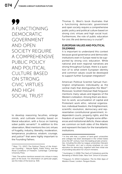99 A FUNCTIONING DEMOCRATIC GOVERNMENT AND OPEN SOCIETY REQUIRE A COMPREHENSIVE PUBLIC POLICY AND POLITICAL CULTURE BASED ON STRONG CIVIC VIRTUES AND HIGH SOCIAL TRUST

to develop reasoning faculties, enlarge minds, and cultivate morality based on liberal education, with a focus on training sober public servants<sup>14</sup>. In addition to this observation, West mentions the civic virtues of frugality, industry, liberality, moderation, temperance, prudence, wisdom, courage, and justice<sup>15</sup> that were highly important to the Founding Fathers.

Thomas G. West's book illustrates that a functioning democratic government and open society require a comprehensive public policy and political culture based on strong civic virtues and high social trust. Furthermore, the role of public education for civic life and democracy is crucial<sup>16</sup>.

## EUROPEAN VALUES AND POLITICAL DILEMMAS

It is important to understand this context because good governance and democratic institutions even in Europe need to be supported by strong civic education. While national and even regional narratives are strong throughout Europe, there is a question of to what extent European identity and common values could be developed to support further European integration?

American Political Scientist Samuel Huntington emphasizes individuality as the central mark that distinguishes the West<sup>17</sup>. Moreover, Scottish Historian Niall Ferguson mentions many values and legacies of the Western civilization. Among them are devotion to work, accumulation of capital and Protestant work ethic, rational organization, individual freedom, the Enlightenment, scientific revolution, democracy and representative constitutional government, independent courts, property rights, and the freedom of worship<sup>18</sup>. Despite some differences and institutional deficits, these values are common on both sides of the Atlantic and represent the basis for the transatlantic institutions.

<sup>14</sup> West, T.G. (2017) *The Political Theory of the American Founding – Natural Rights, Public Policy, and the Moral Conditions of Freedom*, Cambridge: Cambridge University Press.

<sup>&</sup>lt;sup>15</sup> Ibid. The author mentions several civic virtues in many parts of the book. For information on particular pages, see the Index of the book (p. 419).

<sup>&</sup>lt;sup>16</sup> In line with that, a system of land-grant universities and colleges has been developed in the United States since the 19<sup>th</sup> century. Even the leading private universities, including the elite Ivy League universities (Harvard, Yale, Princeton, etc.) put a strong emphasis on civic education for democracy, together with their initial role of providing education for church ministers.

<sup>17</sup> Huntington, S. (1996) *The Clash of Civilizations and the Remaking of World Order*, New York: Simon & Schuster.

<sup>18</sup> Ferguson, N. (2012) Civilization: *The Six Killer Apps of Western Power*, London: Penguin Books.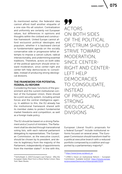As mentioned earlier, the federalist idea cannot afford itself another etiquette of a one-size-fits-all solution. Centralization and uniformity are certainly not European values, but differences in opinions and thoughts within the civilized and constructive framework. United Europe cannot afford exclusivist political ideologies and populism, whether it is backward clerical or fundamentalist agenda on the socially conservative side or progressive-leftist attempts to impose a cancel culture, radical intersectionality, and undermining essential traditions. Therefore, actors on both sides of the political spectrum should strive toward moderation, since center-right and center-left help democracies to consolidate, instead of producing strong ideological divisions.

### THE FRAMEWORK FOR POTENTIAL FEDERAL EU REFORM

Considering the basic functions of the government and the current institutional context of the European Union, there should be a joint security system, including armed forces and the central intelligence agency. In addition to this, the EU already has the institutional framework shared with its member states to protect fundamental market freedoms and competition, as well as a foreign trade policy.

The EU should be based on a strong Parliament and a Council of ministers. The Parliament shall be elected through transnational voting lists, with each national parliament delegating its representatives. The European Commission, as the executive council, should be chosen by its president, and derive its legitimacy from the majority of the Parliament, independently of appointments from the member states $19$ . In line with this, 99 ACTORS ON BOTH SIDES OF THE POLITICAL SPECTRUM SHOULD STRIVE TOWARD MODERATION, SINCE CENTER-RIGHT AND CENTER-LEFT HELP DEMOCRACIES TO CONSOLIDATE, INSTEAD OF PRODUCING **STRONG** IDEOLOGICAL DIVISIONS

European Liberal Youth's proposals for a federal Europe<sup>20</sup> include institutional reforms focused on several areas. The European Commission should transform itself to a political executive branch with a reduced portfolio composed by a coalition and supported by a parliamentary majority $21$ .

<sup>19</sup> Verhofstadt, G. (2017) *Europe's Last Chance - Why the European States Must Form a More Perfect Union*, New York: Basic Books.

<sup>20</sup> [https://www.lymec.eu/about\\_us](https://www.lymec.eu/about_us  )

<sup>21</sup> LYMEC's Vision on Institutional Reform – European Commission. Available [online]: [https://futureu.europa.](https://futureu.europa.eu/processes/Democracy/f/6/proposals/13234) [eu/processes/Democracy/f/6/proposals/13234](https://futureu.europa.eu/processes/Democracy/f/6/proposals/13234)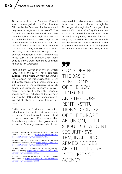At the same time, the European Council should be merged with the Council of the EU<sup>22</sup>, while the European Parliament shall only have a single seat in Brussels $23$ . The Council and the Parliament should then have the right to submit legislative proposals, while the European Union ought to be represented by the President of the Commission<sup>24</sup>. With respect to subsidiarity and the political limits, the EU should focus on trade, internal market, foreign affairs, defense, migration, asylum, fundamental rights, climate, and energy<sup>25</sup> since these policies are of a cross-border and common relevance for Europeans.

Although the European Monetary Union (EMU) exists, the euro is not a common currency in the whole EU. Moreover, unlike the European Free Trade Association (EFTA) and Switzerland, some member states are still not a part of the Schengen area, which guarantees European freedom of movement. Therefore, the federalist concept should consider including all the member states in the EMU and the Schengen area, instead of relying on several fragmentations.

Furthermore, the EU does not have a fiscal union, so the question is to what extent a potential federation would be authorized to collect joint taxes. If we assume that federalism supports a limited government, a potential federal government should not require additional or at least excessive public money to be redistributed through the EU budget, although the EU budget is just around 1% of the GDP (significantly less than in the United States and even Switzerland). In any case, potential European tax policy should accept the tax competition between the member states in order to protect their freedoms concerning personal and corporate income taxes, as well

99 CONSIDERING THE BASIC FUNCTIONS OF THE GOV-ERNMENT AND THE CUR-RENT INSTITU-TIONAL CONTEXT OF THE EUROPE-AN UNION, THERE SHOULD BE A JOINT SECURITY SYS-TEM, INCLUDING ARMED FORCES AND THE CENTRAL INTELLIGENCE AGENCY

<sup>22</sup> LYMEC's Vision on Institutional Reform - European Council. Available [online]: [https://futureu.europa.eu/](https://futureu.europa.eu/processes/Democracy/f/6/proposals/13236) [processes/Democracy/f/6/proposals/13236](https://futureu.europa.eu/processes/Democracy/f/6/proposals/13236)

<sup>23</sup> LYMEC's Vision on Institutional Reform – European Parliament. Available [online]: [https://futureu.europa.eu/](https://futureu.europa.eu/processes/Democracy/f/6/proposals/13237) [processes/Democracy/f/6/proposals/13237](https://futureu.europa.eu/processes/Democracy/f/6/proposals/13237)

<sup>24</sup> LYMEC's Vision on the EU's Democratic Legitimacy. Available [online]: [https://futureu.europa.eu/processes/](https://futureu.europa.eu/processes/Democracy/f/6/proposals/13366) [Democracy/f/6/proposals/13366](https://futureu.europa.eu/processes/Democracy/f/6/proposals/13366)

<sup>25</sup> LYMEC's Vision on the EU's Political Limits. Available [online]: [https://futureu.europa.eu/processes/](https://futureu.europa.eu/processes/Democracy/f/6/proposals/13333) [Democracy/f/6/proposals/13333](https://futureu.europa.eu/processes/Democracy/f/6/proposals/13333)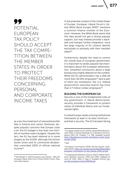99 POTENTIAL EUROPEAN TAX POLICY SHOULD ACCEPT THE TAX COMPE-TITION BETWEEN THE MEMBER STATES IN ORDER TO PROTECT THEIR FREEDOMS CONCERNING PERSONAL AND CORPORATE INCOME TAXES

as a tax-free treatment of reinvested profits (like in Estonia and Latvia). Moreover, despite populist concerns that Europe costs a lot, the EU budget is less than one-fortieth of member state's budgets. Despite this fact, the EU has been referred to in some slogans as *the EUSSR,* although the former Soviet Union and its communist dictatorship controlled 100% of official national income26.

In the potential context of the United States of Europe, European Liberal Forum's *Liberal White Book Europe 2030*27 mentions a common finance minister of the Eurozone. However, the *White Book* warns that this idea would not get a strong popular support, but may instead provoke a backlash and hamper further integration, since the large majority of EU citizens identify exclusively or primarily with their member states $28$ 

Furthermore, despite the need to control the overall level of European government, it is important to tackle populist-led misinformation about the European administration. Simplified conclusions about a large bureaucracy highly depend on the context. While the EU administration has a little bit more than  $30.000$  employees<sup>29</sup> (and a part of them are translators), the U.S. federal government's executive branch has more than 2.7 million civilian employees $30$ .

#### BUILDING THE EUROPEAN CIA

Security is one of the fundamental roles of any government. In liberal democracies, security provides a framework to protect values of individual liberty and our fundamental rights.

A united Europe needs a strong institutional framework at least in its bare minimum – and that is security. The EU has been facing

28 Ibid.

<sup>26</sup> Verhofstadt, G. (2017) *Europe's Last Chance - Why the European States Must Form a More Perfect Union*, New York: Basic Books.

<sup>27</sup> European Liberal Forum (2020) *Liberal White Book Europe 2030, A Liberal Roadmap for a Resilient and Prosperous EMU 3.0*, Chapter 7, p. 248. Available [online]: [https://liberalforum.eu/think-tank/liberal-white-book](https://liberalforum.eu/think-tank/liberal-white-book-europe-2030/)[europe-2030/](https://liberalforum.eu/think-tank/liberal-white-book-europe-2030/)

<sup>29</sup> European Commission (2020) *HR Key Figures*. Available [online]: [https://ec.europa.eu/info/sites/default/files/](https://ec.europa.eu/info/sites/default/files/european-commission-hr_key_figures_2020_en.pdf ) [european-commission-hr\\_key\\_figures\\_2020\\_en.pdf](https://ec.europa.eu/info/sites/default/files/european-commission-hr_key_figures_2020_en.pdf ) 

<sup>30</sup> Congressional Research Service (2021) *Federal Workforce Statistics Sources: OPM and OMB, Updated on June 24, 2021*, Table 3, Page 6. Available [online]: [htt](https://fas.org/sgp/crs/misc/R43590.pdf)[ps://fas.org/sgp/crs/misc/R43590.pdf](https://fas.org/sgp/crs/misc/R43590.pdf)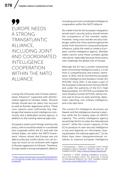# 99 EUROPE NEEDS A STRONG TRANSATLANTIC ALLIANCE, INCLUDING JOINT AND COORDINATED INTELLIGENCE COOPERATION WITHIN THE NATO ALLIANCE

a rising risk of Russian and Chinese authori $t$ arian influence $31$  supported with disinformation against its member states. Terrorist threats should also be taken into account as well as Russian aggressive policy. These core reasons pose sufficiently big challenges that require a joint intelligence community and a dedicated central agency, in addition to the existing national agencies.

Europeans need a joint foreign and security policy, which would be easier to coordinate and cooperate within the EU and with the United States, set within the NATO framework. History shows that Europe was not able to solve any conflict alone, nor can Europe do much on its continent with regard to Russian aggression in Ukraine. Therefore, Europe needs a strong transatlantic alliance,

including joint and coordinated intelligence cooperation within the NATO alliance.

No matter how far the European integration would reach, security policy should remain the competence of the member states. However, rising cross-border security challenges, within the Union and throughout the world, from terrorism to rising authoritarian influence, justify the need to create a European central intelligence agency. Member states cannot solve these complex global risks alone, especially because these policy risks challenge the global role of Europe.

Although the EU has a certain institutional level concerning intelligence policy, it is far from a comprehensive and holistic framework. In 2012, the EU formed the European Union Intelligence and Situation Center (EU INTCEN). Since 2011, it has been a part of the European External Action Service (EEAS) and under the authority of the EU's High Representative. EU INTCEN succeeded the Joint Situation Center (SITCEN), whose mission was to focus on early warnings, diplomatic reporting, non-military intelligence, and crisis task force.

The current EU intelligence structures are flawed, and the intelligence sharing is selective, while the EU heavily relies on NATO's capacity. The central intelligence agency would help the EU to enter the international scene<sup>32</sup>, while the current capacity of the EU to produce its own security intelligence is low and depends on information sharing between the national agencies $33$ . So far, there have been intergovernmental initiatives to improve European intelligence

<sup>31</sup> [https://www.kremlinwatch.eu/userfiles/handbook](https://www.kremlinwatch.eu/userfiles/handbook-on-countering-russian-and-chinese-interference-in-europe.pdf)[on-countering-russian-and-chinese-interference-in](https://www.kremlinwatch.eu/userfiles/handbook-on-countering-russian-and-chinese-interference-in-europe.pdf)[europe.pdf](https://www.kremlinwatch.eu/userfiles/handbook-on-countering-russian-and-chinese-interference-in-europe.pdf)

<sup>32</sup> Christodoulos, I. (2013) *Is a European Union Central Intelligence Agency Needed?*, Research Paper No. 161. Available [online]:<https://rieas.gr/images/rieas161.pdf>

<sup>33</sup> Estevens, J. (2020) "Building Intelligence Cooperation in the European Union". [in]: *Janus.net*, E-Journal of International Relations, Vol. 11(2). Available [online]: <https://doi.org/10.26619/1647-7251.11.2.6>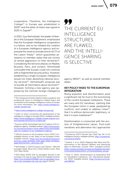cooperation. Therefore, the Intelligence College34 in Europe was established in 2019<sup>35</sup> and the letter of intent was signed in 2020 in Zagreb $36$ .

In 2015, Guy Verhofstadt, the leader of liberals in the European Parliament, emphasized that the European intelligence cooperation is a failure, and so he initiated the creation of a European intelligence agency and expressed the need to activate article 42 (7) of the Lisbon Treaty<sup>37</sup>, which guarantees assistance to member states that are victims of armed aggression on their territories<sup>38</sup>. Considering the terrorist attacks on Madrid, Brussels, Paris, and London, Verhofstadt concluded that Europe could not continue with a fragmented security policy. However, establishing a single European intelligence would not mean abolishing national security services<sup>39</sup>. Verhofstadt's proposal was to bundle all information about terrorists<sup>40</sup>. However, forming a new agency was opposed by the German foreign intelligence

# 77 THE CURRENT EU INTELLIGENCE STRUCTURES ARE FLAWED, AND THE INTELLI-GENCE SHARING IS SELECTIVE

agency (BND)<sup>41</sup>, as well as several member states.

## KEY POLICY RISKS TO THE EUROPEAN INTEGRATION

Rising populism and disinformation pose a significant risk for trust in the functioning of the current European institutions. There are many anti-EU narratives, claiming that the European Union is weak, paralyzed by conflicts, and unable to address crises<sup>42</sup>, that it is without democratic legitimacy, or that it is even totalitarian<sup>43</sup>.

Disinformation is connected with the erosion of Enlightenment values. Post-truth narratives and alternative fact approaches

<sup>&</sup>lt;sup>34</sup> This intergovernmental initiative fosters academic and professional views on intelligence-related topics and contributes to the strategic intelligence culture in Europe. For more information, see: [https://www.intelligence](https://www.intelligence-college-europe.org/)[college-europe.org/](https://www.intelligence-college-europe.org/)

<sup>35</sup> <https://www.intelligence-college-europe.org/>

<sup>36</sup>*Letter of Intent concerning the development of the Intelligence College in Europe* (2020). Available [online]: [https://www.intelligence-college-europe.org/wp-con](https://www.intelligence-college-europe.org/wp-content/uploads/2020/03/LoI-English.pdf)[tent/uploads/2020/03/LoI-English.pdf](https://www.intelligence-college-europe.org/wp-content/uploads/2020/03/LoI-English.pdf) 

<sup>37</sup> Euractiv (2015) *Verhofstadt Calls for Creation of EU Intelligence Agency*. Available [online]: [https://www.eurac](https://www.euractiv.com/section/justice-home-affairs/news/verhofstadt-calls-for-creation-of-eu-intelligence-agency/)[tiv.com/section/justice-home-affairs/news/verhofstadt](https://www.euractiv.com/section/justice-home-affairs/news/verhofstadt-calls-for-creation-of-eu-intelligence-agency/)[calls-for-creation-of-eu-intelligence-agency/](https://www.euractiv.com/section/justice-home-affairs/news/verhofstadt-calls-for-creation-of-eu-intelligence-agency/)

<sup>38</sup> Official Journal of the European Union (2012 *Consolidated Version of the Treaty of the European Union*. Available [online]: [https://eur-lex.europa.eu/resource.](https://eur-lex.europa.eu/resource.html?uri=cellar:2bf140bf-a3f8-4ab2-b506-fd71826e6da6.0023.02/DOC_1&format=PDF) [html?uri=cellar:2bf140bf-a3f8-4ab2-b506-fd71826e-](https://eur-lex.europa.eu/resource.html?uri=cellar:2bf140bf-a3f8-4ab2-b506-fd71826e6da6.0023.02/DOC_1&format=PDF)[6da6.0023.02/DOC\\_1&format=PDF](https://eur-lex.europa.eu/resource.html?uri=cellar:2bf140bf-a3f8-4ab2-b506-fd71826e6da6.0023.02/DOC_1&format=PDF)

<sup>39</sup> Verhofstadt, G. (2017) *Europe's Last Chance - Why the European States Must Form a More Perfect Union*, New York: Basic Books.

<sup>40</sup> NOS News (2016) *Ook na aanslagen Brussel is een Europese CIA nog ver weg*, March 28. Available [online]: [https://nos.nl/artikel/2095686-ook-na-aanslagen-brus](https://nos.nl/artikel/2095686-ook-na-aanslagen-brussel-is-een-europese-cia-nog-ver-weg)[sel-is-een-europese-cia-nog-ver-weg](https://nos.nl/artikel/2095686-ook-na-aanslagen-brussel-is-een-europese-cia-nog-ver-weg) [in Dutch]

<sup>41</sup> EUobserver (2017) *German Spy Chiefs Say 'No' to EU Intelligence Service*. Available [online]: [https://euobserver.](https://euobserver.com/justice/139311 ) [com/justice/139311](https://euobserver.com/justice/139311 ) 

<sup>42</sup> Greene, S. et al. (2021) *Mapping Fake News and Disinformation in the Western Balkans and Identifying Ways to Effectively Counter Them*. Available [online]: [https://www.europarl.europa.eu/RegData/etudes/](https://www.europarl.europa.eu/RegData/etudes/STUD/2020/653621/EXPO_STU(2020)653621_EN.pdf) [STUD/2020/653621/EXPO\\_STU\(2020\)653621\\_EN.pdf](https://www.europarl.europa.eu/RegData/etudes/STUD/2020/653621/EXPO_STU(2020)653621_EN.pdf)

<sup>43</sup> Hinšt, D. (2021) "Disinformation as Geopolitical Risk for Transatlantic Institutions", [in]: *International Studies*, Vol. XXI(2). Available [online]: [https://hrcak.srce.hr/cla](https://hrcak.srce.hr/clanak/388303 )[nak/388303](https://hrcak.srce.hr/clanak/388303 )